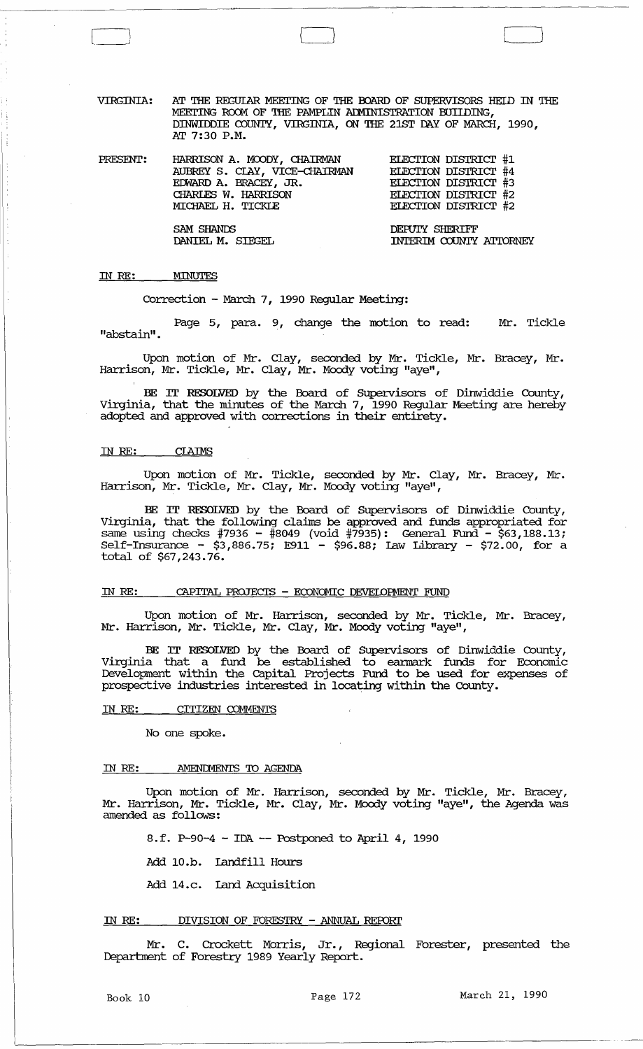VIRGINIA: AT THE REGUIAR MEEI'ING OF THE OOARD OF SUPERVISORS HElD IN THE MEETING ROOM OF THE PAMPLIN ADMINISTRATION BUILDING, DINWIDDIE COUNTY, VIRGINIA, ON THE 21ST DAY OF MARCH, 1990, AT 7:30 P.M.

| PRESENT: | HARRISON A. MOODY, CHAIRMAN   | <b>ELECTION DISTRICT #1</b> |
|----------|-------------------------------|-----------------------------|
|          | AUBREY S. CLAY, VICE-CHAIRMAN | ELECTION DISTRICT #4        |
|          | EDWARD A. BRACEY, JR.         | ELECTION DISTRICT #3        |
|          | CHARLES W. HARRISON           | ELECTION DISTRICT #2        |
|          | MICHAEL H. TICKLE             | ELECTION DISTRICT #2        |
|          |                               |                             |

SAM SHANDS<br>DANIEL M. SIEGEL DANIEL INTERIM COUNTY INTERIM COUNTY ATTORNEY

# IN *RE:*  MINUTES

 $\sqrt{2}$ 

 $\overline{\phantom{0}}$ 

Correction - March 7, 1990 Regular Meeting:

Page 5, para. 9, change the motion to read: Mr. Tickle "abstain" .

Upon motion of Mr. Clay, seconded by Mr. Tickle, Mr. Bracey, Mr. Harrison, Mr. Tickle, Mr. Clay, Mr. Moody voting "aye",

BE IT RESOLVED by the Board of SUpervisors of Dinwiddie County, Virginia, that the minutes of the March 7, 1990 Regular Meeting are hereby adopted and approved with corrections in their entirety.

#### IN *RE:*

Upon motion of Mr. Tickle, seconded by Mr. Clay, Mr. Bracey, Mr. Harrison, Mr. Tickle, Mr. Clay, Mr. Moody voting "aye",

BE IT RESOLVED by the Board of SUpervisors of Dinwiddie County, Virginia, that the following claims be approved and funds appropriated for same using checks #7936 - #8049 (void #7935): General Fund - \$63,188.13; Self-Insurance -  $$3,886.75$ ; E911 -  $$96.88$ ; Law Library -  $$72.00$ , for a total of \$67,243.76.

# IN RE: CAPITAL PROJECTS - ECONOMIC DEVELOPMENT FUND

Upon motion of Mr. Harrison, seconded by Mr. Tickle, Mr. Bracey, Mr. Harrison, Mr. Tickle, Mr. Clay, Mr. Moody voting "aye",

BE IT RESOLVED by the Board of SUpervisors of Dinwiddie County, Virginia that a fund be established to eannark funds for Economic Development within the capital Projects Fund to be used for expenses of prospective industries interested in locating within the County.

#### IN RE: CITIZEN COMMENTS

No one spoke.

#### IN RE: AMENDMENTS TO AGENDA

Upon motion of Mr. Harrison, seconded by Mr. Tickle, Mr. Bracey, Mr. Harrison, Mr. Tickle, Mr. Clay, Mr. Moody voting "aye", the Agenda was amended as follows:

8.f. P-90-4 - IDA -- Postponed to April 4, 1990

Add 10.b. landfill Hours

Add 14.c. Land Acquisition

#### IN RE: DIVISION OF FORESTRY - ANNUAL REroRI'

Mr. C. Crockett Morris, Jr., Regional Forester, presented the Department of Forestry 1989 Yearly Report.

Book 10 **Page 172** March 21, 1990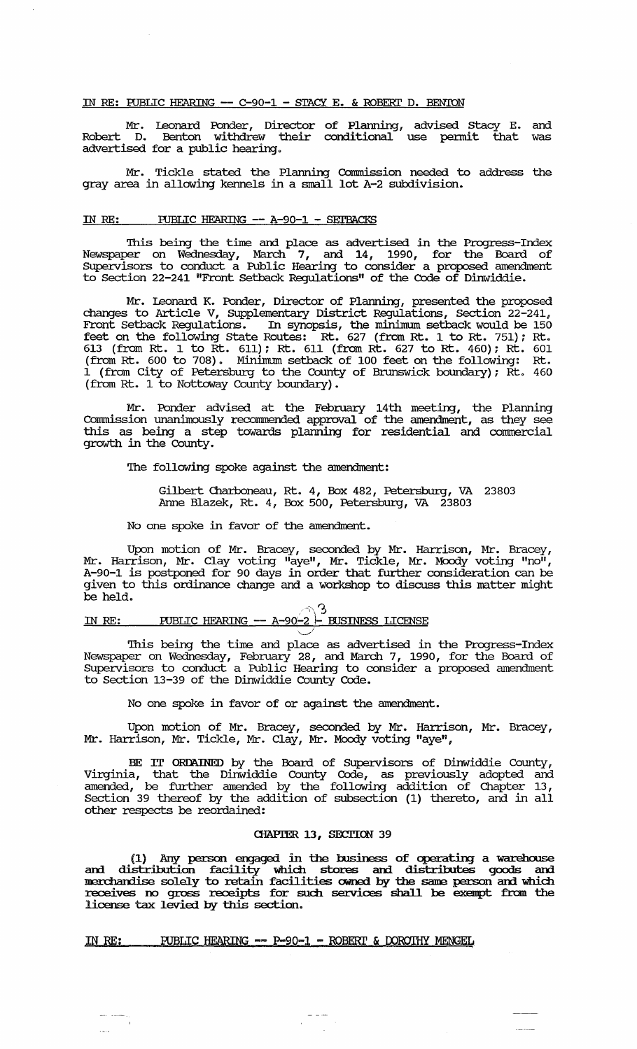## IN RE: FUBLIC HEARING -- C-90-1 - STACY E. & ROBERT D. BENION

Mr. leonard Ponder, Director of Plarming, advised stacy E. and Robert D. Benton withdrew their conditional use pennit that was advertised for a public hearing.

Mr. Tickle stated the Planning Commission needed to address the gray area in allowing kennels in a small lot A-2 subdivision.

## IN RE: PUBLIC HEARING -- A-90-1 - SETBACKS

This being the time and place as advertised in the Progress-Index Newspaper on Wednesday, March 7, and. 14, 1990, for the Board of SUpervisors to conduct a Public Hearing to consider a proposed amendment to section 22-241 "Front Setback Regulations" of the Code of Dinwiddie.

Mr. leonard K. Ponder, Director of Planning, presented the proposed changes to Article V, SUpplementary District Regulations, Section 22-241, Front Setback Regulations. In synopsis, the minimum setback would be 150 feet on the following State Routes:  $Rt.$  627 (from Rt. 1 to Rt. 751); Rt. 613 (from Rt. 1 to Rt. 611); Rt. 611 (from Rt. 627 to Rt. 460); Rt. 601 (from Rt. 600 to 708). Minimum setback of 100 feet on the following: Rt. 1 (from City of Petersburg to the County of Brunswick boundary); Rt. 460 (from Rt. 1 to Nottoway County boundary).

Mr. Ponder advised at the February 14th meeting, the Planning Connnission unanimously reconunended approval of the amendment, as they see this as being a step towards planning for residential and commercial growth in the County.

'Ibe following spoke against the amendment:

Gilbert Charboneau, Rt. 4, Box 482, Petersburg, VA 23803 Anne Blazek, Rt. 4, Box 500, Petersburg, VA 23803

No one spoke in favor of the amendment.

Upon motion of Mr. Bracey, seconded by Mr. Harrison, Mr. Bracey, Mr. Harrison, Mr. Clay voting "aye", Mr. Tickle, Mr. Moody voting "no", A-90-1 is postponed for 90 days in order that further consideration can be given to this ordinance change and a workshop to discuss this matter might be held.

#### $\curvearrowright$ <sup>3</sup> IN RE: PUBLIC HEARING -- A-90-2 - BUSINESS LICENSE *,----,I*

'Ibis being the time and place as advertised in the Progress-Index Newspaper on Wednesday, February 28, and March 7, 1990, for the Board of supervisors to conduct a Public Hearing to consider a proposed amendment to Section 13-39 of the Dinwiddie County Code.

No one spoke in favor of or against the amendment.

Upon motion of Mr. Bracey, seconded by Mr. Harrison, Mr. Bracey, Mr. Harrison, Mr. Tickle, Mr. Clay, Mr. Moody voting "aye",

BE IT ORDAINED by the Board of SUpervisors of Dinwiddie County, Virginia, that the Dinwiddie County Code, as previously adopted and amended, be further amended by the following addition of Chapter 13, Section 39 thereof by the addition of subsection (1) thereto, and in all other respects be reordained:

## CHAPTER 13, SECTION 39

(1) Any person engaged in the business of operating a warehouse and distribution facility which stores and distributes goods and merchandise solely to retain facilities owned by the same person and which receives no gross receipts for such services shall be exempt from the license tax levied by this section.

 $\frac{1}{2} \frac{1}{2} \frac{1}{2} \frac{1}{2} \frac{1}{2} \frac{1}{2} \frac{1}{2} \frac{1}{2} \frac{1}{2} \frac{1}{2} \frac{1}{2} \frac{1}{2} \frac{1}{2} \frac{1}{2} \frac{1}{2} \frac{1}{2} \frac{1}{2} \frac{1}{2} \frac{1}{2} \frac{1}{2} \frac{1}{2} \frac{1}{2} \frac{1}{2} \frac{1}{2} \frac{1}{2} \frac{1}{2} \frac{1}{2} \frac{1}{2} \frac{1}{2} \frac{1}{2} \frac{1}{2} \frac{$ 

## IN RE: PUBLIC HEARING -- P-90-1 - ROBERT & DOROTHY MENGEL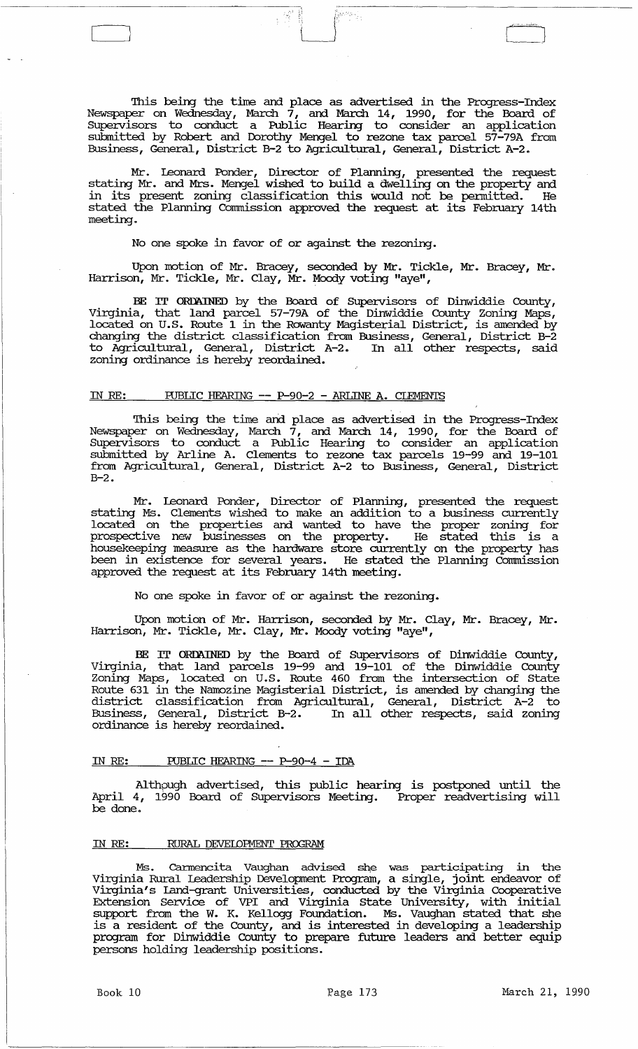This being the time and place as advertised in the Progress-Index Newspaper on Wednesday, March  $7$ , and March 14, 1990, for the Board of SUpervisors to conduct a Public Hearing to consider an application submitted by Robert and. Dorothy Mengel to rezone tax parcel 57-79A from Business, General, District B-2 to Agricultural, General, District A-2.

iya masoji<br>Pi

" ., ::

 $\begin{bmatrix} 1 & 1 \\ 1 & 1 \end{bmatrix}$ 

Mr. Leonard Ponder, Director of Planning, presented the request stating Mr. and. Mrs. Mengel wished to build a dwelling on the property and in its present zoning classification this Would not be pennitted. He stated the Planning Comnission approved the request at its February 14th meeting.

No one spoke in favor of or against the rezoning.

Upon motion of Mr. Bracey, seconded by Mr. Tickle, Mr. Bracey, Mr. Harrison, Mr. Tickle, Mr. Clay, Mr. Moody voting "aye",

BE IT ORDAINED by the Board of SUpervisors of Dinwiddie County, Virginia, that land parcel 57-79A of the Dinwiddie County Zoning Maps, located on U.S. Route 1 in the Rowanty Magisterial District, is amended by changing the district classification from Business, General, District B-2 to Agricultural, General, District A-2. In all other respects, said zoning ordinance is hereby reordained.

# IN RE: PUBLIC HEARING -- P-90-2 - ARLINE A. CLEMENTS

This being the time and place as advertised in the Progress-Index Newspaper on Wednesday, March  $7$ , and March 14, 1990, for the Board of Supervisors to conduct a Public Hearing to consider an application submitted by Arline A. Clements to rezone tax parcels 19-99 and 19-101 from Agricultural, General, District A-2 to Business, General, District  $B-2.$ 

Mr. Leonard Ponder, Director of Planning, presented the request stating Ms. Clements wished to make an addition to a business currently located on the properties and wanted to have the proper zoning for prospective new businesses on the property. He stated this is a housekeeping measure as the hardware store currently on the property has been in existence for several years. He stated the Planning Commission approved the request at its February 14th meeting.

No one spoke in favor of or against the rezoning.

Upon motion of Mr. Harrison, seconded by Mr. Clay, Mr. Bracey, Mr. Harrison, Mr. Tickle, Mr. Clay, Mr. Moody voting "aye",

BE IT ORDAINED by the Board of SUpervisors of Dinwiddie County, Virginia, that land parcels 19-99 and 19-101 of the Dinwiddie County Zoning Maps, located on U. S. Route 460 from the intersection of state Route 631 in the Namozine Magisterial District, is amended by changing the district classification from Agricultural, General, District A-2 to Business, General, District B-2. In all other respects, said zoning Business, General, District B-2.<br>ordinance is hereby reordained.

## IN RE: PUBLIC HEARING -- P-90-4 - IDA

Althpugh advertised, this public hearing is postponed until the April 4, 1990 Board of Supervisors Meeting. Proper readvertising will be done.

## IN *RE:* RURAL DEVEIDFMENT PROGRAM

Ms. Carmencita Vaughan advised she was participating in the Virginia Rural Leadership Development Program, a single, joint endeavor of Virginia's Land-grant Universities, conducted by the Virginia cooperative Extension Service of VPI and Virginia state University, with initial support from the W. K. Kellogg Foundation. Ms. Vaughan stated that she Eupport from the M. R. Reflogg Tourdation. The valgarit believe the life is program for Dinwiddie County to prepare future leaders and. better equip persons holding leadership positions.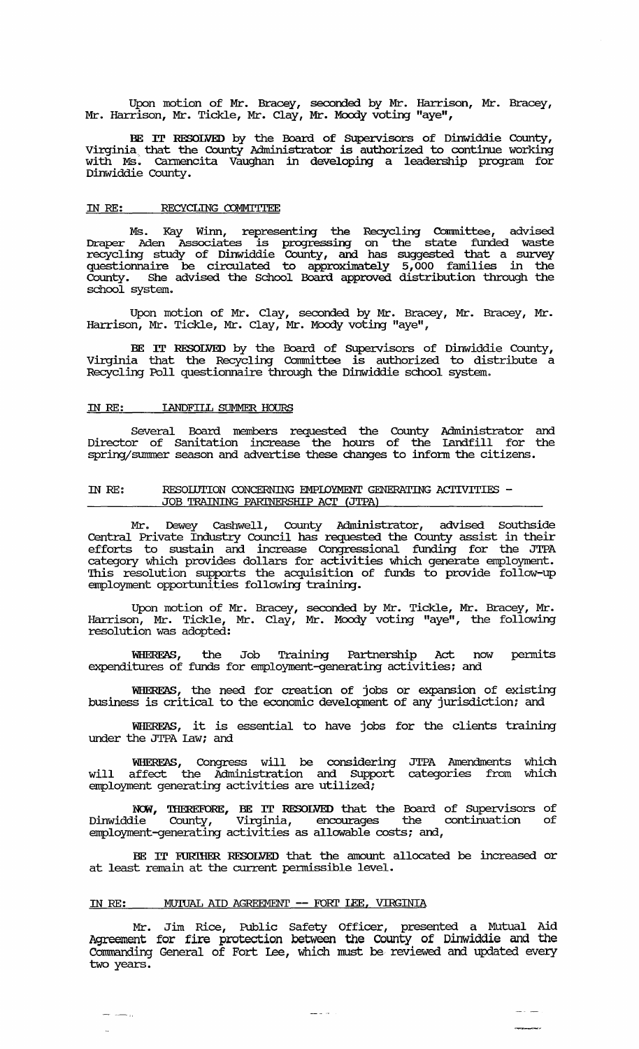Upon motion of Mr. Bracey, seconded by Mr. Harrison, Mr. Bracey, Mr. Harrison, Mr. Tickle, Mr. Clay, Mr. Moody voting "aye",

BE IT RESOLVED by the Board of SUpervisors of Dinwiddie County, Virginia that the County Administrator is authorized to continue working with Ms. cannencita Vaughan in developing a leadership program for Dinwiddie County.

## IN RE: RECYCLING COMMITTEE

Ms. Kay Winn, representing the Recycling Committee, advised Draper Aden Associates is progressing on the state funded waste recycling study of Dinwiddie County, and has suggested that a survey questionnaire be circulated to approximately 5,000 families in the County. She advised the School Board approved distribution through the school system.

Upon motion of Mr. Clay, seconded by Mr. Bracey, Mr. Bracey, Mr. Harrison, Mr. Tickle, Mr. Clay, Mr. Moody voting "aye" *<sup>e</sup>*

BE IT RESOLVED by the Board of Supervisors of Dinwiddie County, Virginia that the Recycling Committee is authorized to distribute a Recycling Poll questionnaire through the Dinwiddie school system.

## IN RE: lANDFILL SUMMER HOURS

Several Board members requested the County Administrator and Director of sanitation increase the hours of the landfill for the spring/summer season and advertise these changes to inform the citizens.

## IN RE: RESOIUTION CONCERNING EMPIOYMENT GENERATING ACTIVITIES  $-$ JOB TRAINING PARINERSHIP ACT (JTPA)

Mr. Dewey cashwell, County Administrator, advised Southside Central Private Indusb:y Council has requested the County assist in their efforts to sustain and increase Congressional funding for the JTPA category which provides dollars for activities which generate employment. This resolution supports the acquisition of funds to provide follow-up employment opportunities following training.

Upon motion of Mr. Bracey, seconded by Mr. Tickle, Mr. Bracey, Mr. Harrison, Mr. Tickle, Mr. Clay, Mr. Moody voting "aye", the following resolution was adopted:

WHERFAS, the Job Training Partnership Act now permits expenditures of funds for employment-generating activities; and

WHEREAS, the need for creation of jobs or expansion of existing business is critical to the economic development of any jurisdiction; and

WHEREAS, it is essential to have jobs for the clients training under the JTPA law; and

WHEREAS, Congress will be considering JTPA Amendments which will affect the Administration and Support categories from which employment generating activities are utilized;

NOW, THEREFORE, BE IT RESOLVED that the Board of Supervisors of Dinwiddie County, Virginia, encourages the continuation of employment-generating activities as allowable costs; and,

BE IT EURIHER RESOLVED that the amount allocated be increased or at least remain at the current permissible level.

# IN RE: MUIUAL AID AGREEMENT -- FORT LEE, VIRGINIA

 $\rightarrow$   $\rightarrow$   $\rightarrow$ 

Mr. Jim Rice, Public Safety Officer, presented a Mutual Aid Agreement for fire protection between the County of Dinwiddie and the commanding General of Fort Lee, which must be reviewed and updated every two years.

 $\frac{1}{2}$  and  $\frac{1}{2}$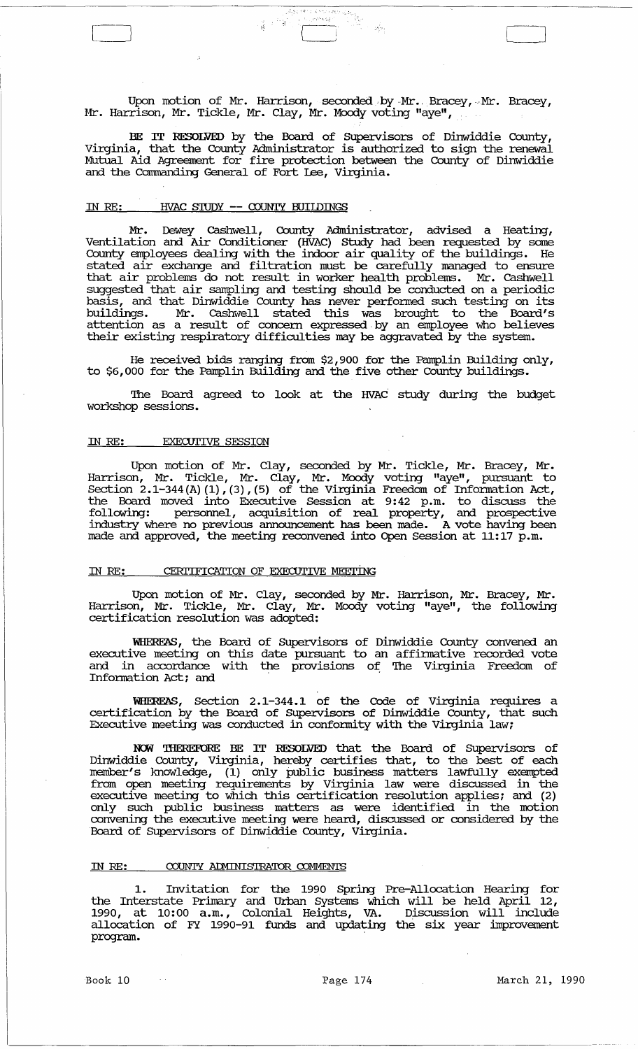Upon motion of Mr. Harrison, seconded by Mr. Bracey, Mr. Bracey, Mr. Harrison, Mr. Tickle, Mr. Clay, Mr. Moody voting "aye",

-f. J

BE IT RESOLVED by the Board of SUpervisors of Dinwiddie County, Virginia, that the County Administrator is authorized to sign the renewal Mutual Aid Agreement for fire protection between the County of Dinwiddie and the commanding General of Fort Lee, virginia.

## IN RE: **HVAC STUDY -- COUNTY BUILDINGS**

Mr. Dewey cashwell, County Administrator, advised a Heating, Ventilation and Air conditioner (HVAC) study had been requested by some County employees dealing with the indoor air quality of the buildings. He stated air exchange and filtration must be carefully managed to ensure that air problems do not result in worker health problems. Mr. cashwell suggested that air sampling and testing should be conducted on a periodic basis, and that Dinwiddie County has never perfo:rmed such testing on its buildings. Mr. cashwell stated this was brought to the Board's attention as a result of concern expressed. by an employee who believes their existing respiratory difficulties may be aggravated by the system.

He received bids ranging from \$2,900 for the Pamplin Building only, to \$6,000 for the Pamplin Building and the five other County buildings.

The Board agreed to look at the HVAC study during the budget workshop sessions.

## IN *RE:* EXECUTIVE SESSION

Upon motion of Mr. Clay, seconded by Mr. Tickle, Mr. Bracey, Mr. Harrison, Mr. Tickle, Mr. Clay, Mr. Moody voting "aye", pursuant to Section  $2.1-344$  (A) (1),(3),(5) of the Virginia Freedom of Information Act, the Board moved into Executive session at 9:42 p.m. to discuss the following: personnel, acquisition of real property, and prospective industry where no previous announcement has been made. A vote having been made and approved, the meeting reconvened into Open Session at 11:17 p.m.

## IN RE: CERTIFICATION OF EXECUTIVE MEETING

Upon motion of Mr. Clay, seconded by Mr. Harrison, Mr. Bracey, Mr. Harrison, Mr. Tickle, Mr. Clay, Mr. Moody voting "aye", the following certification resolution was adopted:

WHEREAS, the Board of SUpervisors of Dinwiddie County convened an executive meeting on this date pursuant to an affirmative recorded vote and in accordance with the provisions of The Virginia Freedom of Information Act; and .

WHEREAS, Section 2.1-344.1 of the Code of Virginia requires a certification by the Board of SUpervisors of Dinwiddie County, that such Executive meeting was conducted in conformity with the Virginia law;

NCM 'IHEREFORE BE IT RESOLVED that the Board of Supervisors of Dinwiddie County, Virginia, hereby certifies that, to the best of each member's knowledge, (1) only Public business matters lawfully exempted from open meeting requirements by Virginia law were discussed in the executive meeting to which this certification resolution applies; and (2) only such public business matters as were identified in the motion convening the executive meeting were heard, discussed or considered by the Board of SUpervisors of Dinwiddie County, Virginia.

#### IN RE: COUNTY ADMINISTRATOR COMMENTS

1. Invitation for the 1990 Spring Pre-Allocation Hearing for the Interstate Primary and Urban Systems which will be held April 12, 1990, at 10:00 a.m., Colonial Heights, VA. Discussion will include allocation of FY 1990-91 funds and updating the six year improvement program.